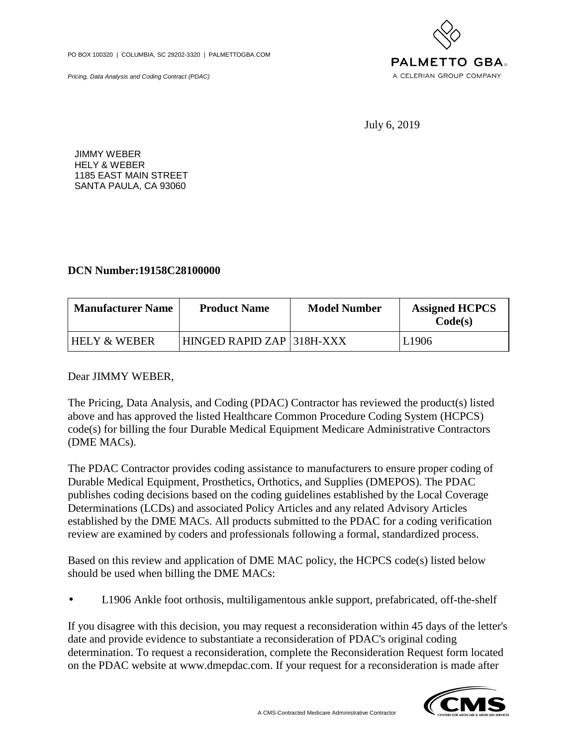PO BOX 100320 | COLUMBIA, SC 29202-3320 | PALMETTOGBA.COM

Pricing, Data Analysis and Coding Contract (PDAC)



July 6, 2019

JIMMY WEBER HELY & WEBER 1185 EAST MAIN STREET SANTA PAULA, CA 93060

## **DCN Number:19158C28100000**

| <b>Manufacturer Name</b> | <b>Product Name</b>       | <b>Model Number</b> | <b>Assigned HCPCS</b><br>Code(s) |
|--------------------------|---------------------------|---------------------|----------------------------------|
| <b>HELY &amp; WEBER</b>  | HINGED RAPID ZAP 318H-XXX |                     | L1906                            |

## Dear JIMMY WEBER,

The Pricing, Data Analysis, and Coding (PDAC) Contractor has reviewed the product(s) listed above and has approved the listed Healthcare Common Procedure Coding System (HCPCS) code(s) for billing the four Durable Medical Equipment Medicare Administrative Contractors (DME MACs).

The PDAC Contractor provides coding assistance to manufacturers to ensure proper coding of Durable Medical Equipment, Prosthetics, Orthotics, and Supplies (DMEPOS). The PDAC publishes coding decisions based on the coding guidelines established by the Local Coverage Determinations (LCDs) and associated Policy Articles and any related Advisory Articles established by the DME MACs. All products submitted to the PDAC for a coding verification review are examined by coders and professionals following a formal, standardized process.

Based on this review and application of DME MAC policy, the HCPCS code(s) listed below should be used when billing the DME MACs:

• L1906 Ankle foot orthosis, multiligamentous ankle support, prefabricated, off-the-shelf

If you disagree with this decision, you may request a reconsideration within 45 days of the letter's date and provide evidence to substantiate a reconsideration of PDAC's original coding determination. To request a reconsideration, complete the Reconsideration Request form located on the PDAC website at www.dmepdac.com. If your request for a reconsideration is made after